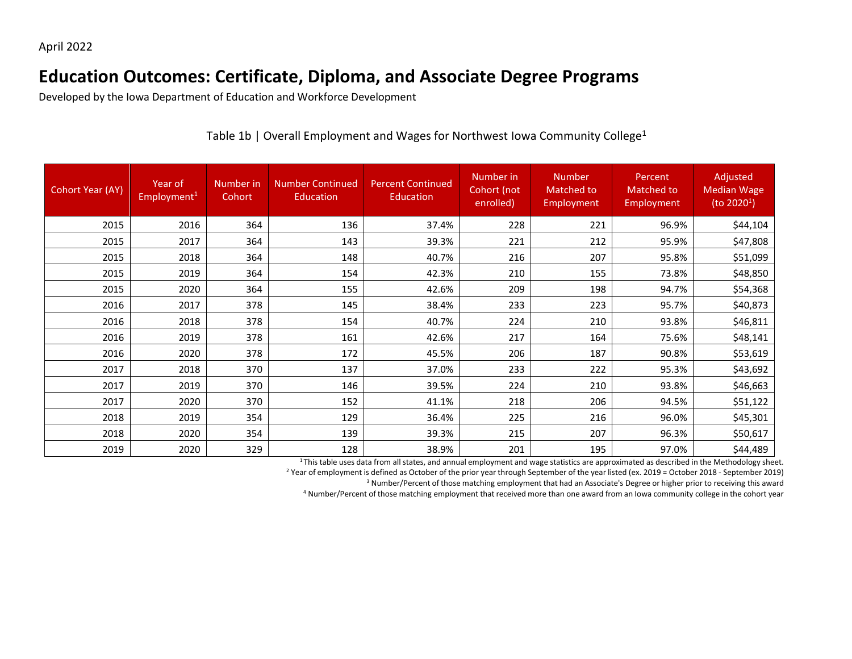## **Education Outcomes: Certificate, Diploma, and Associate Degree Programs**

Developed by the Iowa Department of Education and Workforce Development

| <b>Cohort Year (AY)</b> | Year of<br>Employment <sup>1</sup> | Number in<br>Cohort | <b>Number Continued</b><br>Education | <b>Percent Continued</b><br>Education | Number in<br>Cohort (not<br>enrolled) | <b>Number</b><br>Matched to<br>Employment | Percent<br><b>Matched to</b><br>Employment | Adjusted<br><b>Median Wage</b><br>(to $20201$ ) |
|-------------------------|------------------------------------|---------------------|--------------------------------------|---------------------------------------|---------------------------------------|-------------------------------------------|--------------------------------------------|-------------------------------------------------|
| 2015                    | 2016                               | 364                 | 136                                  | 37.4%                                 | 228                                   | 221                                       | 96.9%                                      | \$44,104                                        |
| 2015                    | 2017                               | 364                 | 143                                  | 39.3%                                 | 221                                   | 212                                       | 95.9%                                      | \$47,808                                        |
| 2015                    | 2018                               | 364                 | 148                                  | 40.7%                                 | 216                                   | 207                                       | 95.8%                                      | \$51,099                                        |
| 2015                    | 2019                               | 364                 | 154                                  | 42.3%                                 | 210                                   | 155                                       | 73.8%                                      | \$48,850                                        |
| 2015                    | 2020                               | 364                 | 155                                  | 42.6%                                 | 209                                   | 198                                       | 94.7%                                      | \$54,368                                        |
| 2016                    | 2017                               | 378                 | 145                                  | 38.4%                                 | 233                                   | 223                                       | 95.7%                                      | \$40,873                                        |
| 2016                    | 2018                               | 378                 | 154                                  | 40.7%                                 | 224                                   | 210                                       | 93.8%                                      | \$46,811                                        |
| 2016                    | 2019                               | 378                 | 161                                  | 42.6%                                 | 217                                   | 164                                       | 75.6%                                      | \$48,141                                        |
| 2016                    | 2020                               | 378                 | 172                                  | 45.5%                                 | 206                                   | 187                                       | 90.8%                                      | \$53,619                                        |
| 2017                    | 2018                               | 370                 | 137                                  | 37.0%                                 | 233                                   | 222                                       | 95.3%                                      | \$43,692                                        |
| 2017                    | 2019                               | 370                 | 146                                  | 39.5%                                 | 224                                   | 210                                       | 93.8%                                      | \$46,663                                        |
| 2017                    | 2020                               | 370                 | 152                                  | 41.1%                                 | 218                                   | 206                                       | 94.5%                                      | \$51,122                                        |
| 2018                    | 2019                               | 354                 | 129                                  | 36.4%                                 | 225                                   | 216                                       | 96.0%                                      | \$45,301                                        |
| 2018                    | 2020                               | 354                 | 139                                  | 39.3%                                 | 215                                   | 207                                       | 96.3%                                      | \$50,617                                        |
| 2019                    | 2020                               | 329                 | 128                                  | 38.9%                                 | 201                                   | 195                                       | 97.0%                                      | \$44,489                                        |

Table 1b | Overall Employment and Wages for Northwest Iowa Community College<sup>1</sup>

<sup>1</sup> This table uses data from all states, and annual employment and wage statistics are approximated as described in the Methodology sheet.

<sup>2</sup> Year of employment is defined as October of the prior year through September of the year listed (ex. 2019 = October 2018 - September 2019)

<sup>3</sup> Number/Percent of those matching employment that had an Associate's Degree or higher prior to receiving this award

<sup>4</sup> Number/Percent of those matching employment that received more than one award from an Iowa community college in the cohort year